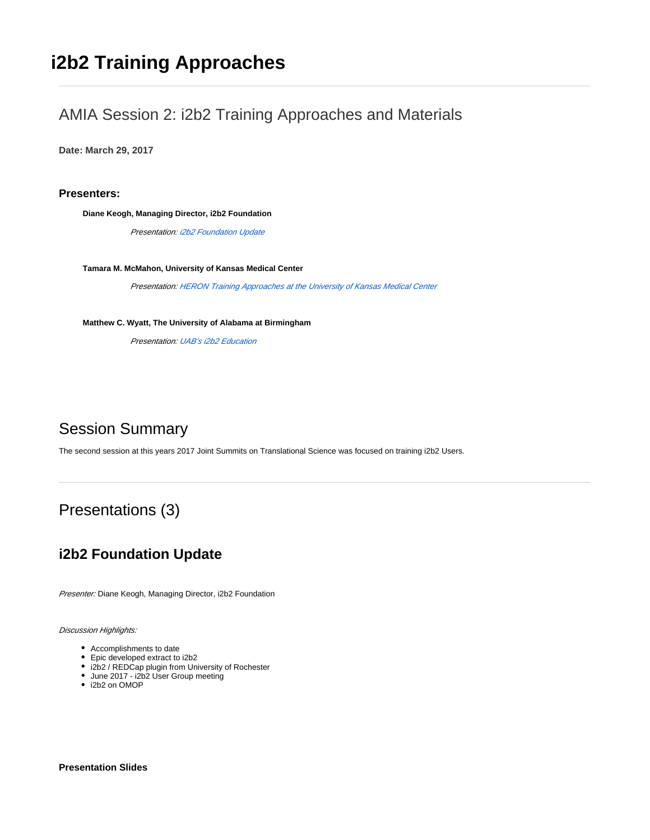# **i2b2 Training Approaches**

### AMIA Session 2: i2b2 Training Approaches and Materials

**Date: March 29, 2017**

**Presenters:**

**Diane Keogh, Managing Director, i2b2 Foundation**

Presentation: i2b2 Foundation Update

**Tamara M. McMahon, University of Kansas Medical Center**

Presentation: [HERON Training Approaches at the University of Kansas Medical Center](#page-1-0)

**Matthew C. Wyatt, The University of Alabama at Birmingham**

Presentation: [UAB's i2b2 Education](#page-2-0)

## Session Summary

The second session at this years 2017 Joint Summits on Translational Science was focused on training i2b2 Users.

# Presentations (3)

### **i2b2 Foundation Update**

Presenter: Diane Keogh, Managing Director, i2b2 Foundation

Discussion Highlights:

- Accomplishments to date
- Epic developed extract to i2b2
- i2b2 / REDCap plugin from University of Rochester
- June 2017 i2b2 User Group meeting
- i2b2 on OMOP

**Presentation Slides**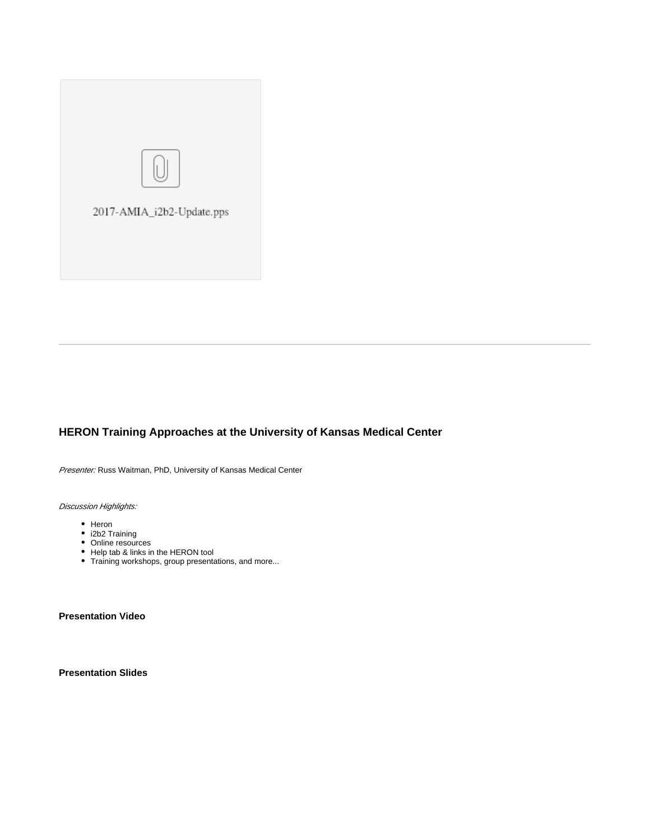

### <span id="page-1-0"></span>**HERON Training Approaches at the University of Kansas Medical Center**

Presenter: Russ Waitman, PhD, University of Kansas Medical Center

Discussion Highlights:

- Heron
- i2b2 Training
- Online resources
- Help tab & links in the HERON tool
- Training workshops, group presentations, and more...

**Presentation Video**

**Presentation Slides**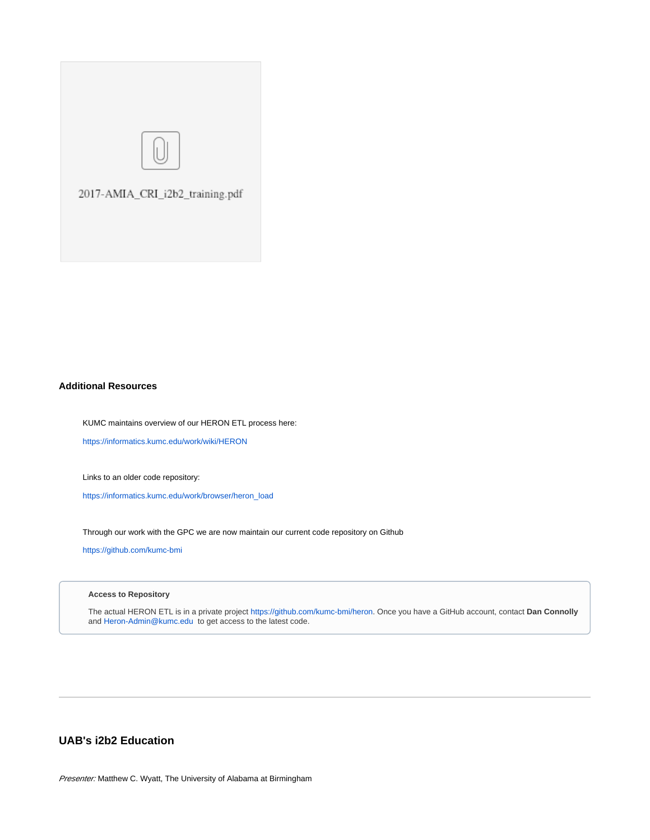

#### **Additional Resources**

KUMC maintains overview of our HERON ETL process here:

<https://informatics.kumc.edu/work/wiki/HERON>

Links to an older code repository:

[https://informatics.kumc.edu/work/browser/heron\\_load](https://informatics.kumc.edu/work/browser/heron_load)

Through our work with the GPC we are now maintain our current code repository on Github

<https://github.com/kumc-bmi>

#### **Access to Repository**

The actual HERON ETL is in a private project<https://github.com/kumc-bmi/heron>. Once you have a GitHub account, contact **Dan Connolly** and [Heron-Admin@kumc.edu](mailto:Heron-Admin@kumc.edu) to get access to the latest code.

### <span id="page-2-0"></span>**UAB's i2b2 Education**

Presenter: Matthew C. Wyatt, The University of Alabama at Birmingham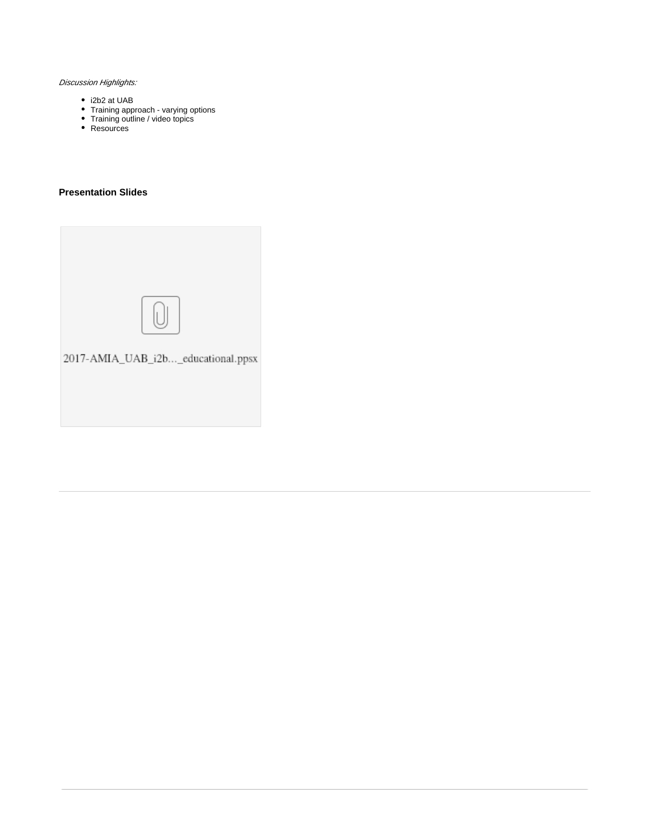#### Discussion Highlights:

- i2b2 at UAB
- Training approach varying options
- Training outline / video topics
- Resources

#### **Presentation Slides**